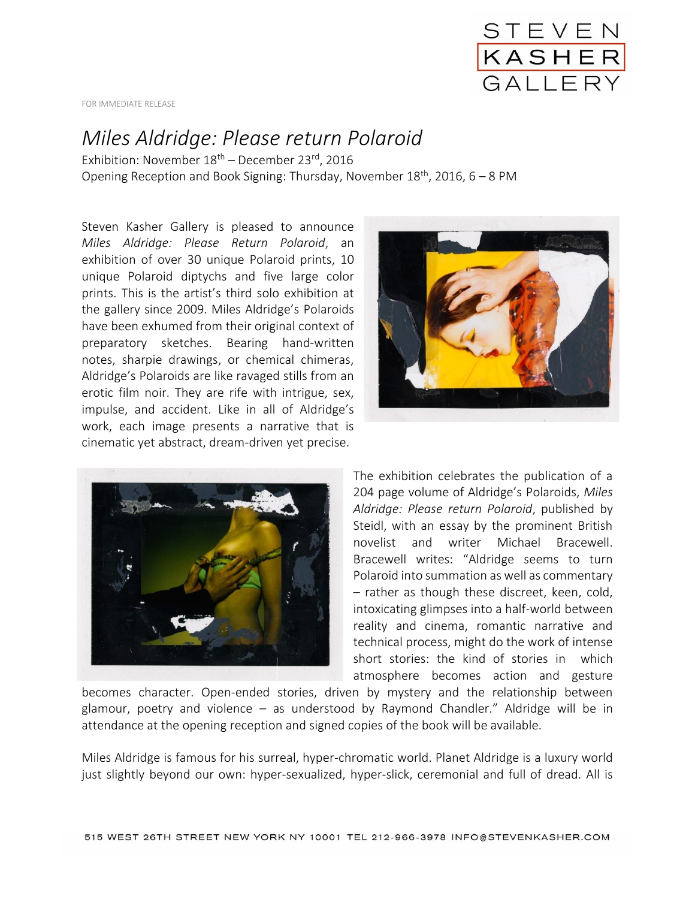

FOR IMMEDIATE RELEASE

## *Miles Aldridge: Please return Polaroid*

Exhibition: November  $18<sup>th</sup>$  – December 23<sup>rd</sup>, 2016 Opening Reception and Book Signing: Thursday, November  $18^{th}$ , 2016, 6 – 8 PM

Steven Kasher Gallery is pleased to announce *Miles Aldridge: Please Return Polaroid*, an exhibition of over 30 unique Polaroid prints, 10 unique Polaroid diptychs and five large color prints. This is the artist's third solo exhibition at the gallery since 2009. Miles Aldridge's Polaroids have been exhumed from their original context of preparatory sketches. Bearing hand-written notes, sharpie drawings, or chemical chimeras, Aldridge's Polaroids are like ravaged stills from an erotic film noir. They are rife with intrigue, sex, impulse, and accident. Like in all of Aldridge's work, each image presents a narrative that is cinematic yet abstract, dream-driven yet precise.





The exhibition celebrates the publication of a 204 page volume of Aldridge's Polaroids, *Miles Aldridge: Please return Polaroid*, published by Steidl, with an essay by the prominent British novelist and writer Michael Bracewell. Bracewell writes: "Aldridge seems to turn Polaroid into summation as well as commentary – rather as though these discreet, keen, cold, intoxicating glimpses into a half-world between reality and cinema, romantic narrative and technical process, might do the work of intense short stories: the kind of stories in which atmosphere becomes action and gesture

becomes character. Open-ended stories, driven by mystery and the relationship between glamour, poetry and violence – as understood by Raymond Chandler." Aldridge will be in attendance at the opening reception and signed copies of the book will be available.

Miles Aldridge is famous for his surreal, hyper-chromatic world. Planet Aldridge is a luxury world just slightly beyond our own: hyper-sexualized, hyper-slick, ceremonial and full of dread. All is